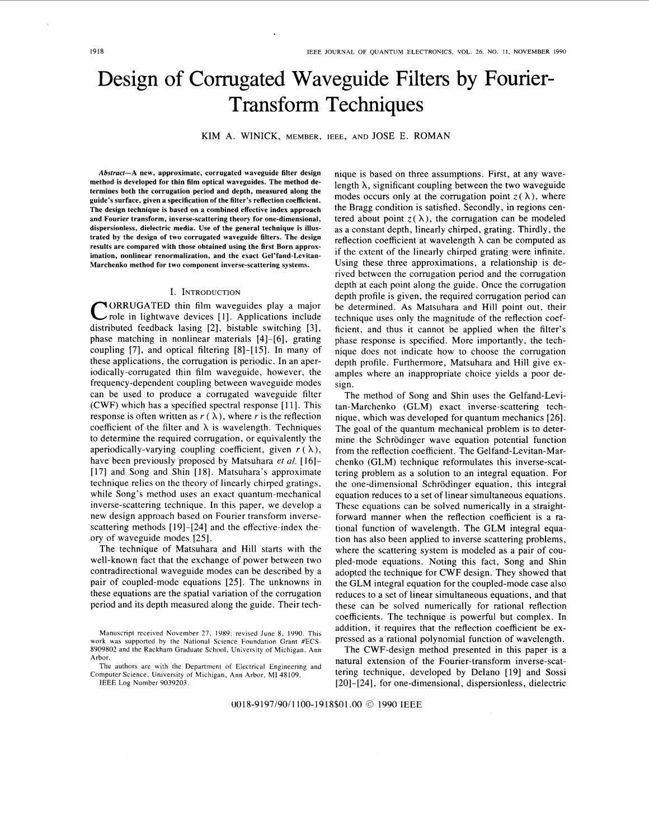# Design of Corrugated Waveguide Filters by Fourier-Transform Techniques

KIM A. WINICK, MEMBER, IEEE, AND JOSE E. ROMAN

*Abstract-A* **new, approximate, corrugated waveguide filter design method is developed for thin film optical waveguides. The method determines both the corrugation period and depth, measured along the guide's surface, given a specification of the filter's reflection coefficient. The design technique is based on a combined effective index approach and Fourier transform, inverse-scattering theory for one-dimensional, dispersionless, dielectric media. Use of the general technique is illustrated by the design of two corrugated waveguide filters. The design results are compared with those obtained using the first Born approximation, nonlinear renormalization, and the exact Gel'fand-Levitan-Marchenko method for two component inverse-scattering systems.** 

# I. INTRODUCTION

ORRUGATED thin film waveguides play a major C role in lightwave devices [ 11. Applications include distributed feedback lasing [2], bistable switching [3], phase matching in nonlinear materials [4]-[6], grating coupling [7], and optical filtering [8]-[15]. In many of these applications, the corrugation is periodic. In an aperiodically-corrugated thin film waveguide, however, the frequency-dependent coupling between waveguide modes can be used to produce a corrugated waveguide filter (CWF) which has a specified spectral response [ 111. This response is often written as  $r(\lambda)$ , where *r* is the reflection coefficient of the filter and  $\lambda$  is wavelength. Techniques to determine the required corrugation, or equivalently the aperiodically-varying coupling coefficient, given  $r(\lambda)$ , have been previously proposed by Matsuhara et al. [16]-[17] and Song and Shin [18]. Matsuhara's approximate technique relies on the theory of linearly chirped gratings, while Song's method uses an exact quantum-mechanical inverse-scattering technique. In this paper, we develop a new design approach based on Fourier transform inversescattering methods [19]-[24] and the effective-index theory of waveguide modes [25].

The technique of Matsuhara and Hill starts with the well-known fact that the exchange of power between two contradirectional waveguide modes can be described by a pair of coupled-mode equations [25]. The unknowns in these equations are the spatial variation of the corrugation period and its depth measured along the guide. Their tech-

nique is based on three assumptions. First, at any wavelength  $\lambda$ , significant coupling between the two waveguide modes occurs only at the corrugation point  $z(\lambda)$ , where the Bragg condition is satisfied. Secondly, in regions centered about point  $z(\lambda)$ , the corrugation can be modeled as a constant depth, linearly chirped, grating. Thirdly, the reflection coefficient at wavelength  $\lambda$  can be computed as if the extent of the linearly chirped grating were infinite. Using these three approximations, a relationship is derived between the corrugation period and the corrugation depth at each point along the guide. Once the corrugation depth profile is given, the required corrugation period can be determined. **As** Matsuhara and Hill point out, their technique uses only the magnitude of the reflection coefficient, and thus it cannot be applied when the filter's phase response is specified. More importantly, the technique does not indicate how to choose the corrugation depth profile. Furthermore, Matsuhara and Hill give examples where an inappropriate choice yields a poor design.

The method of Song and Shin uses the Gelfand-Levitan-Marchenko (GLM) exact inverse-scattering technique, which was developed for quantum mechanics [26]. The goal of the quantum mechanical problem is to determine the Schrodinger wave equation potential function from the reflection coefficient. The Gelfand-Levitan-Marchenko (GLM) technique reformulates this inverse-scattering problem as a solution to an integral equation. For the one-dimensional Schrodinger equation, this integral equation reduces to a set of linear simultaneous equations. These equations can be solved numerically in a straightforward manner when the reflection coefficient is a rational function of wavelength. The GLM integral equation has also been applied to inverse scattering problems, where the scattering system is modeled as a pair of coupled-mode equations. Noting this fact, Song and Shin adopted the technique for CWF design. They showed that the GLM integral equation for the coupled-mode case also reduces to a set of linear simultaneous equations, and that these can be solved numerically for rational reflection coefficients. The technique is powerful but complex. In addition, it requires that the reflection coefficient be expressed as a rational polynomial function of wavelength.

The CWF-design method presented in this paper is a natural extension of the Fourier-transform inverse-scattering technique, developed by Delano [19] and Sossi [20]-[24], for one-dimensional, dispersionless, dielectric

00 18-9 197/90/ 1 100- 19 1 8\$0 1 .OO *O* 1990 IEEE

Manuscript received November 27, 1989; revised June 8, 1990. This work was supported by the National Science Foundation Grant #ECS-8909802 and the Rackham Graduate School. University of Michigan. Ann Arbor.

The authors are with the Department of Electrical Engineering and Computer Science, University of Michigan, Ann Arbor, MI 48109.

IEEE Log Number 9039203.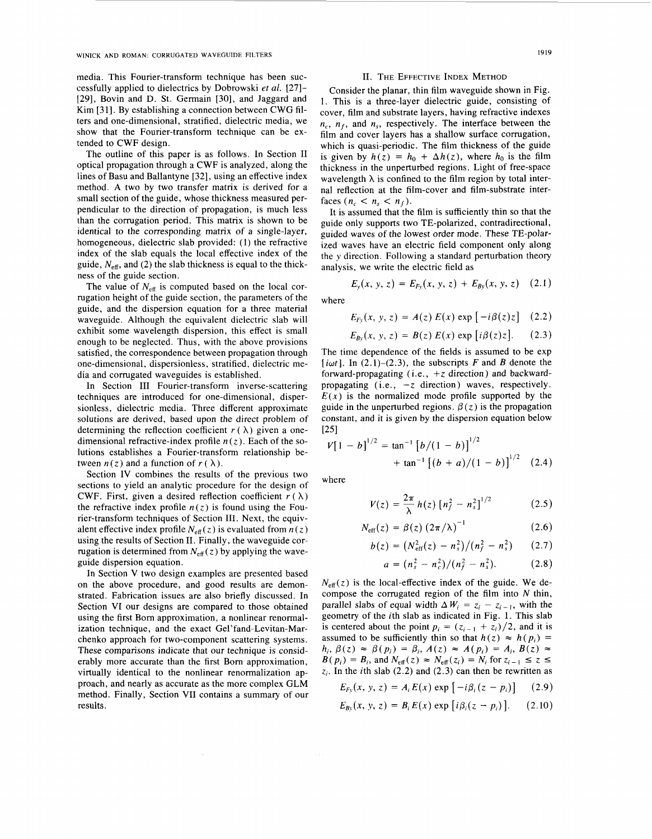media. This Fourier-transform technique has been successfully applied to dielectrics by Dobrowski *et al.* 1271- [29], Bovin and D. St. Germain [30], and Jaggard and Kim [31]. By establishing a connection between CWG filters and one-dimensional, stratified, dielectric media, we show that the Fourier-transform technique can be extended to CWF design.

The outline of this paper is as follows. In Section **I1**  optical propagation through a CWF is analyzed, along the lines of Basu and Ballantyne [32], using an effective index method. A two by two transfer matrix is derived for a small section of the guide, whose thickness measured perpendicular to the direction of propagation, is much less than the corrugation period. This matrix is shown to be identical to the corresponding matrix of a single-layer, homogeneous, dielectric slab provided: (1) the refractive index of the slab equals the local effective index of the guide, *Neff,* and (2) the slab thickness is equal to the thickness of the guide section.

The value of  $N_{\text{eff}}$  is computed based on the local corrugation height of the guide section, the parameters of the guide, and the dispersion equation for a three material waveguide. Although the equivalent dielectric slab will exhibit some wavelength dispersion, this effect is small enough to be neglected. Thus, with the above provisions satisfied, the correspondence between propagation through one-dimensional, dispersionless, stratified, dielectric media and corrugated waveguides is established.

In Section 111 Fourier-transform inverse-scattering techniques are introduced for one-dimensional, dispersionless, dielectric media. Three different approximate solutions are derived, based upon the direct problem of determining the reflection coefficient  $r(\lambda)$  given a onedimensional refractive-index profile  $n(z)$ . Each of the solutions establishes a Fourier-transform relationship between  $n(z)$  and a function of  $r(\lambda)$ .

Section **IV** combines the results of the previous two sections to yield an analytic procedure for the design of CWF. First, given a desired reflection coefficient  $r(\lambda)$ the refractive index profile  $n(z)$  is found using the Fourier-transform techniques of Section **111.** Next, the equivalent effective index profile  $N_{\text{eff}}(z)$  is evaluated from  $n(z)$ using the results of Section **11.** Finally, the waveguide corrugation is determined from  $N_{\text{eff}}(z)$  by applying the waveguide dispersion equation.

In Section **V** two design examples are presented based on the above procedure, and good results are demonstrated. Fabrication issues are also briefly discussed. In Section **VI** our designs are compared to those obtained using the first Born approximation, a nonlinear renormalization technique, and the exact Gel'fand-Levitan-Marchenko approach for two-component scattering systems. These comparisons indicate that our technique is considerably more accurate than the first Born approximation, virtually identical to the nonlinear renormalization approach, and nearly as accurate as the more complex GLM method. Finally, Section **VI1** contains a summary of our results.

#### **11.** THE EFFECTIVE INDEX METHOD

Consider the planar, thin film waveguide shown in [Fig.](#page-2-0) [1.](#page-2-0) This is a three-layer dielectric guide, consisting of cover, film and substrate layers, having refractive indexes  $n_c$ ,  $n_f$ , and  $n_c$ , respectively. The interface between the film and cover layers has a shallow surface corrugation, which is quasi-periodic. The film thickness of the guide is given by  $h(z) = h_0 + \Delta h(z)$ , where  $h_0$  is the film thickness in the unperturbed regions. Light of free-space wavelength  $\lambda$  is confined to the film region by total internal reflection at the film-cover and film-substrate interfaces  $(n_c < n_s < n_f)$ .

It is assumed that the film is sufficiently thin so that the guide only supports two TE-polarized, contradirectional, guided waves of the lowest order mode. These TE-polarized waves have an electric field component only along the y direction. Following a standard perturbation theory analysis, we write the electric field as

$$
E_{y}(x, y, z) = E_{F y}(x, y, z) + E_{B y}(x, y, z) \quad (2.1)
$$

where

$$
E_{F_{\rm V}}(x, y, z) = A(z) E(x) \exp \left[-i\beta(z)z\right] \quad (2.2)
$$

$$
E_{By}(x, y, z) = B(z) E(x) \exp [i\beta(z)z]. \qquad (2.3)
$$

The time dependence of the fields is assumed to be exp  $[i\omega t]$ . In (2.1)–(2.3), the subscripts *F* and *B* denote the forward-propagating (i.e.,  $+z$  direction) and backwardpropagating  $(i.e., -z$  direction) waves, respectively.  $E(x)$  is the normalized mode profile supported by the guide in the unperturbed regions.  $\beta(z)$  is the propagation constant, and it is given by the dispersion equation below 1251

$$
V[1-b]^{1/2} = \tan^{-1} [b/(1-b)]^{1/2}
$$
  
+ 
$$
\tan^{-1} [(b+a)/(1-b)]^{1/2}
$$
 (2.4)

where

$$
V(z) = \frac{2\pi}{\lambda} h(z) \left[ n_f^2 - n_s^2 \right]^{1/2}
$$
 (2.5)

$$
N_{\rm eff}(z) = \beta(z) \left(2\pi/\lambda\right)^{-1} \tag{2.6}
$$

$$
b(z) = (N_{\rm eff}^2(z) - n_s^2)/(n_f^2 - n_s^2) \qquad (2.7)
$$

$$
a = (n_s^2 - n_c^2)/(n_f^2 - n_s^2). \qquad (2.8)
$$

 $N_{\text{eff}}(z)$  is the local-effective index of the guide. We decompose the corrugated region of the film into *N* thin, parallel slabs of equal width  $\Delta W_i = z_i - z_{i-1}$ , with the geometry of the ith slab as indicated in [Fig. 1.](#page-2-0) This slab is centered about the point  $p_i = (z_{i-1} + z_i)/2$ , and it is assumed to be sufficiently thin so that  $h(z) \approx h(p_i) =$ <br>  $h_i$ ,  $\beta(z) \approx \beta(p_i) = \beta_i$ ,  $A(z) \approx A(p_i) = A_i$ ,  $B(z) \approx$ <br>  $B(p_i) = B_i$ , and  $N_{\text{eff}}(z) \approx N_{\text{eff}}(z_i) = N_i$  for  $z_{i-1} \le z \le$ <br>  $B(\bar{p_i}) = B_i$ , and  $N_{\text{eff}}(z) \approx \pi A(\bar{p_i})$  $h_i$ ,  $\beta(z) \approx \beta(p_i) = \beta_i$ ,  $A(z) \approx A(p_i) = A_i$ ,  $B(z) \approx B(p_i) = B_i$ , and  $N_{\text{eff}}(z) \approx N_{\text{eff}}(z_i) = N_i$  for  $z_{i-1} \le z \le \beta_i$  $z_i$ . In the *i*th slab (2.2) and (2.3) can then be rewritten as

$$
E_{F_y}(x, y, z) = A_i E(x) \exp \left[ -i \beta_i (z - p_i) \right] \quad (2.9)
$$

$$
E_{By}(x, y, z) = B_i E(x) \exp [i\beta_i(z - p_i)].
$$
 (2.10)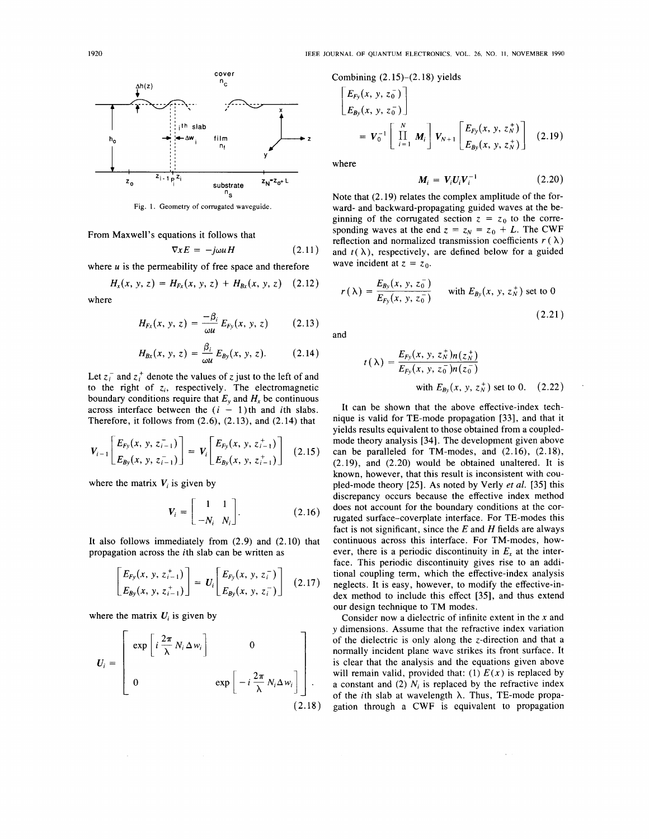<span id="page-2-0"></span>

Fig. 1. **Geometry** of **cormgated waveguide.** 

From Maxwell's equations it follows that

$$
\nabla x E = -j\omega u H \qquad (2.11)
$$

where  $u$  is the permeability of free space and therefore

$$
H_x(x, y, z) = H_{Fx}(x, y, z) + H_{Bx}(x, y, z) \quad (2.12)
$$

where

$$
H_{Fx}(x, y, z) = \frac{-\beta_i}{\omega u} E_{Fy}(x, y, z) \qquad (2.13)
$$

$$
H_{Bx}(x, y, z) = \frac{\beta_i}{\omega u} E_{By}(x, y, z). \qquad (2.14)
$$

Let  $z_i^-$  and  $z_i^+$  denote the values of *z* just to the left of and to the right of *zi,* respectively. The electromagnetic boundary conditions require that  $E_y$  and  $H_x$  be continuous across interface between the  $(i - 1)$ th and *i*th slabs. Therefore, it follows from **(2.6), (2.13),** and **(2.14)** that

$$
V_{i-1}\left[\frac{E_{F_y}(x, y, z_{i-1}^-)}{E_{B_y}(x, y, z_{i-1}^-)}\right] = V_i\left[\frac{E_{F_y}(x, y, z_{i-1}^+)}{E_{B_y}(x, y, z_{i-1}^+)}\right]
$$
(2.15)

where the matrix  $V_i$  is given by

$$
V_i = \begin{bmatrix} 1 & 1 \\ -N_i & N_i \end{bmatrix}.
$$
 (2.16)

It also follows immediately from **(2.9)** and **(2.10)** that propagation across the ith slab can be written as

$$
\begin{bmatrix} E_{Fy}(x, y, z_{i-1}^+) \\ E_{By}(x, y, z_{i-1}^+) \end{bmatrix} = U_i \begin{bmatrix} E_{Fy}(x, y, z_i^-) \\ E_{By}(x, y, z_i^-) \end{bmatrix}
$$
 (2.17)

where the matrix  $U_i$  is given by

$$
U_i = \begin{bmatrix} exp \left[ i \frac{2\pi}{\lambda} N_i \Delta w_i \right] & 0 \\ 0 & exp \left[ -i \frac{2\pi}{\lambda} N_i \Delta w_i \right] \end{bmatrix}.
$$
 (2.18)

Combining **(2.15)-(2.18)** yields

$$
\begin{aligned}\n\left[E_{Fy}(x, y, z_0^-)\right] \\
E_{By}(x, y, z_0^-)\n\end{aligned}
$$
\n
$$
= \mathbf{V}_0^{-1} \left[ \prod_{i=1}^N \mathbf{M}_i \right] \mathbf{V}_{N+1} \left[ \frac{E_{Fy}(x, y, z_N^+)}{E_{By}(x, y, z_N^+)} \right] (2.19)
$$

where

$$
M_i = V_i U_i V_i^{-1} \qquad (2.20)
$$

Note that **(2.19)** relates the complex amplitude of the forward- and backward-propagating guided waves at the beginning of the corrugated section  $z = z_0$  to the corresponding waves at the end  $z = z_N = z_0 + L$ . The CWF reflection and normalized transmission coefficients  $r(\lambda)$ and  $t(\lambda)$ , respectively, are defined below for a guided wave incident at  $z = z_0$ .

$$
r(\lambda) = \frac{E_{By}(x, y, z_0^-)}{E_{Fy}(x, y, z_0^-)}
$$
 with  $E_{By}(x, y, z_N^+)$  set to 0  
(2.21)

and

$$
t(\lambda) = \frac{E_{Fy}(x, y, z_N^+) n(z_N^+)}{E_{Fy}(x, y, z_0^-) n(z_0^-)}
$$
  
with  $E_{By}(x, y, z_N^+)$  set to 0. (2.22)

It can be shown that the above effective-index technique is valid for TE-mode propagation **[33],** and that it yields results equivalent to those obtained from a coupledmode theory analysis **[34].** The development given above can be paralleled for TM-modes, and **(2.16), (2.18), (2.19),** and **(2.20)** would be obtained unaltered. It is known, however, that this result is inconsistent with coupled-mode theory **[25].** As noted by Verly *et al.* **[35]** this discrepancy occurs because the effective index method does not account for the boundary conditions at the corrugated surface-coverplate interface. For TE-modes this fact is not significant, since the *E* and *H* fields are always continuous across this interface. For TM-modes, however, there is a periodic discontinuity in  $E<sub>r</sub>$  at the interface. This periodic discontinuity gives rise to an additional coupling term, which the effective-index analysis neglects. It is easy, however, to modify the effective-index method to include this effect **[35],** and thus extend our design technique to TM modes.

Consider now a dielectric of infinite extent in the *x* and y dimensions. Assume that the refractive index variation of the dielectric is only along the z-direction and that a normally incident plane wave strikes its front surface. It is clear that the analysis and the equations given above will remain valid, provided that: (1)  $E(x)$  is replaced by a constant and (2)  $N_i$  is replaced by the refractive index of the *i*th slab at wavelength  $\lambda$ . Thus, TE-mode propagation through a CWF is equivalent to propagation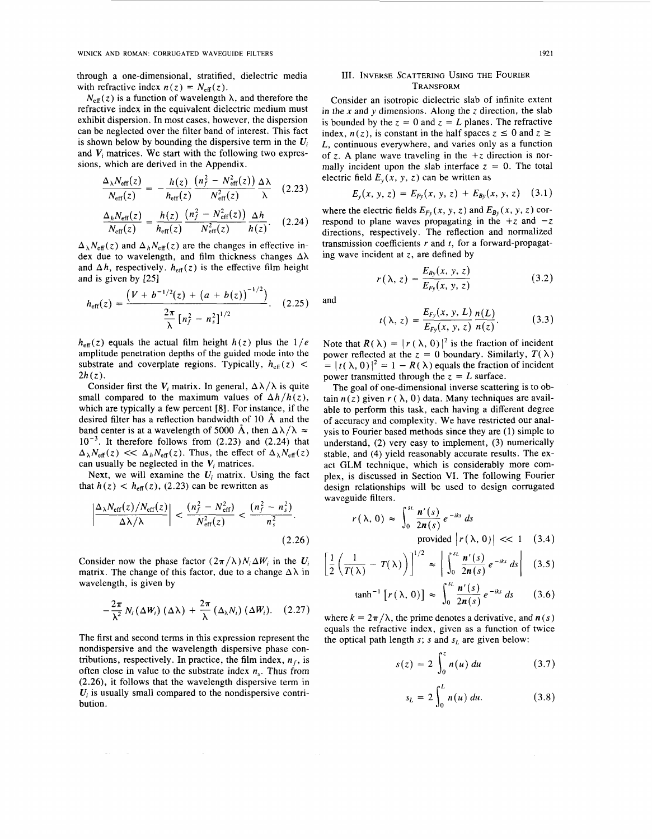through a one-dimensional, stratified, dielectric media with refractive index  $n(z) = N_{\text{eff}}(z)$ .

 $N_{\text{eff}}(z)$  is a function of wavelength  $\lambda$ , and therefore the refractive index in the equivalent dielectric medium must exhibit dispersion. In most cases, however, the dispersion can be neglected over the filter band of interest. This fact is shown below by bounding the dispersive term in the  $U_i$ and *V<sub>i</sub>* matrices. We start with the following two expressions, which are derived in the Appendix.

$$
\frac{\Delta_{\lambda}N_{\text{eff}}(z)}{N_{\text{eff}}(z)} = -\frac{h(z)}{h_{\text{eff}}(z)}\frac{(n_f^2 - N_{\text{eff}}^2(z))}{N_{\text{eff}}^2(z)}\frac{\Delta\lambda}{\lambda}
$$
 (2.23)

$$
\frac{\Delta_h N_{\rm eff}(z)}{N_{\rm eff}(z)} = \frac{h(z)}{h_{\rm eff}(z)} \frac{\left(n_f^2 - N_{\rm eff}^2(z)\right)}{N_{\rm eff}^2(z)} \frac{\Delta h}{h(z)}.\tag{2.24}
$$

 $\Delta_{\lambda} N_{\text{eff}}(z)$  and  $\Delta_h N_{\text{eff}}(z)$  are the changes in effective index due to wavelength, and film thickness changes  $\Delta\lambda$ and  $\Delta h$ , respectively.  $h_{\text{eff}}(z)$  is the effective film height and is given by [25]  $\frac{1}{2}$ 

$$
h_{\text{eff}}(z) = \frac{\left(V + b^{-1/2}(z) + \left(a + b(z)\right)^{-1/2}\right)}{\frac{2\pi}{\lambda}\left[n_f^2 - n_s^2\right]^{1/2}}.
$$
 (2.25)

 $h_{\text{eff}}(z)$  equals the actual film height  $h(z)$  plus the  $1/e$ amplitude penetration depths of the guided mode into the substrate and coverplate regions. Typically,  $h_{\text{eff}}(z)$  <  $2h(z)$ .

Consider first the  $V_i$  matrix. In general,  $\Delta \lambda / \lambda$  is quite small compared to the maximum values of  $\Delta h/h(z)$ , which are typically a few percent [8]. For instance, if the desired filter has a reflection bandwidth of  $10 \text{ Å}$  and the band center is at a wavelength of 5000 Å, then  $\Delta \lambda / \lambda \approx$  $10^{-3}$ . It therefore follows from (2.23) and (2.24) that  $\Delta_{\lambda}N_{\text{eff}}(z) \ll \Delta_hN_{\text{eff}}(z)$ . Thus, the effect of  $\Delta_{\lambda}N_{\text{eff}}(z)$ can usually be neglected in the  $V_i$  matrices.

Next, we will examine the  $U_i$  matrix. Using the fact that  $h(z) < h_{\text{eff}}(z)$ , (2.23) can be rewritten as

$$
\left|\frac{\Delta_{\lambda}N_{\rm eff}(z)/N_{\rm eff}(z)}{\Delta\lambda/\lambda}\right| < \frac{(n_f^2 - N_{\rm eff}^2)}{N_{\rm eff}^2(z)} < \frac{(n_f^2 - n_s^2)}{n_s^2}.\tag{2.26}
$$

Consider now the phase factor  $(2\pi/\lambda)N_i\Delta W_i$  in the  $U_i$ matrix. The change of this factor, due to a change  $\Delta \lambda$  in wavelength, is given by

$$
-\frac{2\pi}{\lambda^2} N_i \left(\Delta W_i\right) \left(\Delta \lambda\right) + \frac{2\pi}{\lambda} \left(\Delta_\lambda N_i\right) \left(\Delta W_i\right). \quad (2.27)
$$

The first and second terms in this expression represent the nondispersive and the wavelength dispersive phase contributions, respectively. In practice, the film index,  $n_f$ , is often close in value to the substrate index *n,.* Thus from (2.26), it follows that the wavelength dispersive term in  $U_i$  is usually small compared to the nondispersive contribution.

# III. INVERSE SCATTERING USING THE FOURIER **TRANSFORM**

Consider an isotropic dielectric slab of infinite extent in the **x** and *y* dimensions. Along the z direction, the slab is bounded by the  $z = 0$  and  $z = L$  planes. The refractive index,  $n(z)$ , is constant in the half spaces  $z \le 0$  and  $z \ge 1$ *L,* continuous everywhere, and varies only as a function of z. A plane wave traveling in the *+z* direction is normally incident upon the slab interface  $z = 0$ . The total electric field  $E_y(x, y, z)$  can be written as

$$
E_{y}(x, y, z) = E_{Fy}(x, y, z) + E_{By}(x, y, z) \quad (3.1)
$$

where the electric fields  $E_{F_y}(x, y, z)$  and  $E_{By}(x, y, z)$  correspond to plane waves propagating in the  $+z$  and  $-z$ directions, respectively. The reflection and normalized transmission coefficients *r* and *t,* for a forward-propagating wave incident at *z,* are defined by

$$
r(\lambda, z) = \frac{E_{By}(x, y, z)}{E_{F_y}(x, y, z)}
$$
 (3.2)

and

$$
t(\lambda, z) = \frac{E_{Fy}(x, y, L)}{E_{Fy}(x, y, z)} \frac{n(L)}{n(z)}.
$$
 (3.3)

Note that  $R(\lambda) = |r(\lambda, 0)|^2$  is the fraction of incident power reflected at the  $z = 0$  boundary. Similarly,  $T(\lambda)$  $= |t(\lambda, 0)|^2 = 1 - R(\lambda)$  equals the fraction of incident power transmitted through the  $z = L$  surface.

The goal of one-dimensional inverse scattering is to obtain  $n(z)$  given  $r(\lambda, 0)$  data. Many techniques are available to perform this task, each having a different degree of accuracy and complexity. We have restricted our analysis to Fourier based methods since they are (1) simple to understand, (2) very easy to implement, (3) numerically stable, and (4) yield reasonably accurate results. The exact GLM technique, which is considerably more complex, is discussed in Section **VI.** The following Fourier design relationships will be used to design corrugated waveguide filters.

$$
r(\lambda, 0) \approx \int_0^{s_L} \frac{n'(s)}{2n(s)} e^{-iks} ds
$$
  
provided  $|r(\lambda, 0)| \ll 1$  (3.4)

$$
\left[\frac{1}{2}\left(\frac{1}{T(\lambda)}-T(\lambda)\right)\right]^{1/2}\approx \left|\int_0^{s_L}\frac{n'(s)}{2n(s)}e^{-iks}\,ds\right|\quad(3.5)
$$

$$
\tanh^{-1}\left[r\left(\lambda,\,0\right)\right]\approx\,\int_0^{s_L}\frac{n'\left(s\right)}{2n\left(s\right)}\,e^{-iks}\,ds\qquad(3.6)
$$

where  $k = 2\pi/\lambda$ , the prime denotes a derivative, and  $n(s)$ equals the refractive index, given as a function of twice the optical path length  $s$ ;  $s$  and  $s<sub>L</sub>$  are given below:

$$
s(z) = 2 \int_0^z n(u) du \qquad (3.7)
$$

$$
s_L = 2 \int_0^L n(u) \, du. \tag{3.8}
$$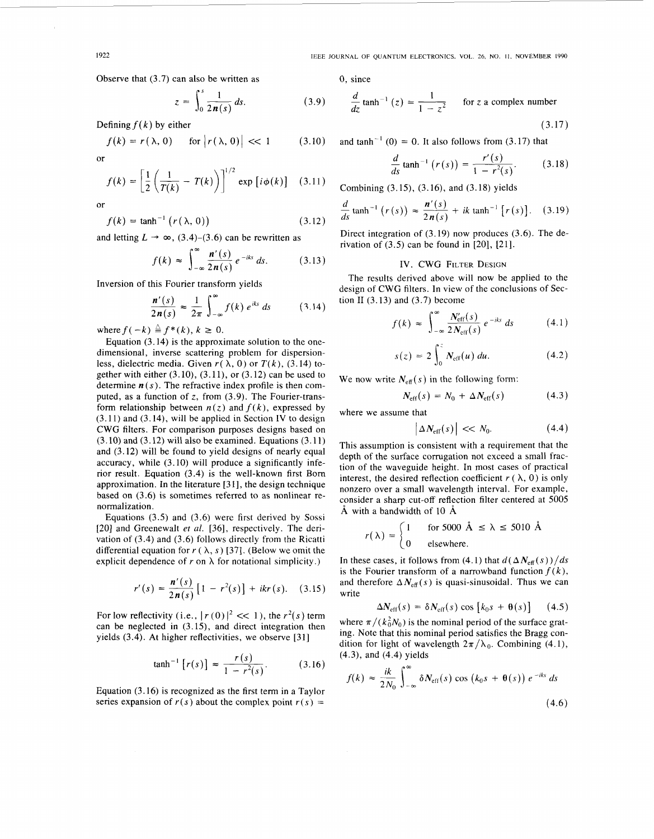IEEE JOURNAL OF QUANTUM ELECTRONICS. VOL. 26, NO. 11. NOVEMBER 1990

<span id="page-4-0"></span>1922

Observe that (3.7) can also be written as

$$
z = \int_0^s \frac{1}{2n(s)} ds. \tag{3.9}
$$

Defining  $f(k)$  by either

$$
f(k) = r(\lambda, 0) \quad \text{for } |r(\lambda, 0)| \ll 1 \qquad (3.10)
$$

or

$$
f(k) = \left[\frac{1}{2}\left(\frac{1}{T(k)} - T(k)\right)\right]^{1/2} \exp\left[i\phi(k)\right] \quad (3.11)
$$

or

$$
f(k) = \tanh^{-1}(r(\lambda, 0))
$$
\n(3.12)

and letting  $L \rightarrow \infty$ , (3.4)–(3.6) can be rewritten as

$$
f(k) \approx \int_{-\infty}^{\infty} \frac{n'(s)}{2n(s)} e^{-iks} ds. \qquad (3.13)
$$

Inversion of this Fourier transform yields

$$
\frac{n'(s)}{2n(s)} \approx \frac{1}{2\pi} \int_{-\infty}^{\infty} f(k) e^{iks} ds \qquad (3.14)
$$

where  $f(-k) \triangleq f^*(k)$ ,  $k \ge 0$ .

Equation (3.14) is the approximate solution to the onedimensional, inverse scattering problem for dispersionless, dielectric media. Given  $r(\lambda, 0)$  or  $T(k)$ , (3.14) together with either  $(3.10)$ ,  $(3.11)$ , or  $(3.12)$  can be used to determine  $n(s)$ . The refractive index profile is then computed, as a function of *z,* from (3.9). The Fourier-transform relationship between  $n(z)$  and  $f(k)$ , expressed by  $(3.11)$  and  $(3.14)$ , will be applied in Section IV to design CWG filters. For comparison purposes designs based on (3.10) and (3.12) will also be examined. Equations (3.11) and (3.12) will be found to yield designs of nearly equal accuracy, while (3.10) will produce a significantly inferior result. Equation (3.4) is the well-known first Born approximation. In the literature [3 11, the design technique based on (3.6) is sometimes referred to as nonlinear renormalization.

Equations (3.5) and (3.6) were first derived by Sossi [20] and Greenewalt *er al.* [36], respectively. The derivation of (3.4) and (3.6) follows directly from the Ricatti differential equation for  $r(\lambda, s)$  [37]. (Below we omit the explicit dependence of  $r$  on  $\lambda$  for notational simplicity.) *ria* (*sig*) and (3.6) follows directly by . The deri-<br>
(3.4) and (3.6) follows directly from the Ricatti<br>
al equation for  $r(\lambda, s)$  [37]. (Below we omit the<br>
ependence of  $r$  on  $\lambda$  for notational simplicity.)<br>  $r'(s) = \frac$ 

$$
r'(s) = \frac{n'(s)}{2n(s)} [1 - r^{2}(s)] + ikr(s). \quad (3.15)
$$

For low reflectivity (i.e.,  $|r(0)|^2 \ll 1$ ), the  $r^2(s)$  term can be neglected in (3.15), and direct integration then yields (3.4). At higher reflectivities, we observe [31]

$$
\tanh^{-1}\left[r(s)\right] \approx \frac{r(s)}{1 - r^2(s)}.\tag{3.16}
$$

Equation (3.16) is recognized as the first term in a Taylor series expansion of  $r(s)$  about the complex point  $r(s)$  =

0, since

$$
\frac{d}{dz} \tanh^{-1}(z) = \frac{1}{1 - z^2} \qquad \text{for } z \text{ a complex number}
$$
\n(3.17)

and tanh<sup>-1</sup> (0) = 0. It also follows from (3.17) that

$$
\frac{d}{ds} \tanh^{-1} (r(s)) = \frac{r'(s)}{1 - r^2(s)}.
$$
 (3.18)

Combining (3.15), (3.16), and (3.18) yields

$$
\frac{d}{ds} \tanh^{-1} (r(s)) \approx \frac{n'(s)}{2n(s)} + ik \tanh^{-1} [r(s)]. \quad (3.19)
$$

Direct integration of (3.19) now produces (3.6). The derivation of  $(3.5)$  can be found in  $[20]$ ,  $[21]$ .

### IV. CWG FILTER **DESIGN**

The results derived above will now be applied to the design of CWG filters. In view of the conclusions of Section II  $(3.13)$  and  $(3.7)$  become

$$
f(k) \approx \int_{-\infty}^{\infty} \frac{N'_{\rm eff}(s)}{2N_{\rm eff}(s)} e^{-iks} ds \qquad (4.1)
$$

$$
s(z) = 2 \int_0^z N_{\rm eff}(u) \ du. \tag{4.2}
$$

We now write  $N_{\text{eff}}(s)$  in the following form:

$$
N_{\rm eff}(s) = N_0 + \Delta N_{\rm eff}(s) \tag{4.3}
$$

where we assume that

$$
\left|\Delta N_{\rm eff}(s)\right| \ll N_0. \tag{4.4}
$$

This assumption is consistent with a requirement that the depth of the surface corrugation not exceed a small fraction of the waveguide height. In most cases of practical interest, the desired reflection coefficient  $r(\lambda, 0)$  is only nonzero over a small wavelength interval. For example, consider a sharp cut-off reflection filter centered at 5005 A with a bandwidth of 10 A

$$
r(\lambda) = \begin{cases} 1 & \text{for } 5000 \text{ Å } \le \lambda \le 5010 \text{ Å} \\ 0 & \text{elsewhere.} \end{cases}
$$

In these cases, it follows from (4.1) that  $d(\Delta N_{\text{eff}}(s))/ds$ is the Fourier transform of a narrowband function  $f(k)$ , and therefore  $\Delta N_{\text{eff}}(s)$  is quasi-sinusoidal. Thus we can write

$$
\Delta N_{\rm eff}(s) = \delta N_{\rm eff}(s) \cos \left[ k_0 s + \theta(s) \right] \quad (4.5)
$$

where  $\pi/(k_0^2 N_0)$  is the nominal period of the surface grating. Note that this nominal period satisfies the Bragg condition for light of wavelength  $2\pi/\lambda_0$ . Combining (4.1), (4.3), and (4.4) yields

$$
f(k) \approx \frac{ik}{2N_0} \int_{-\infty}^{\infty} \delta N_{\rm eff}(s) \cos (k_0 s + \theta(s)) e^{-iks} ds
$$
\n(4.6)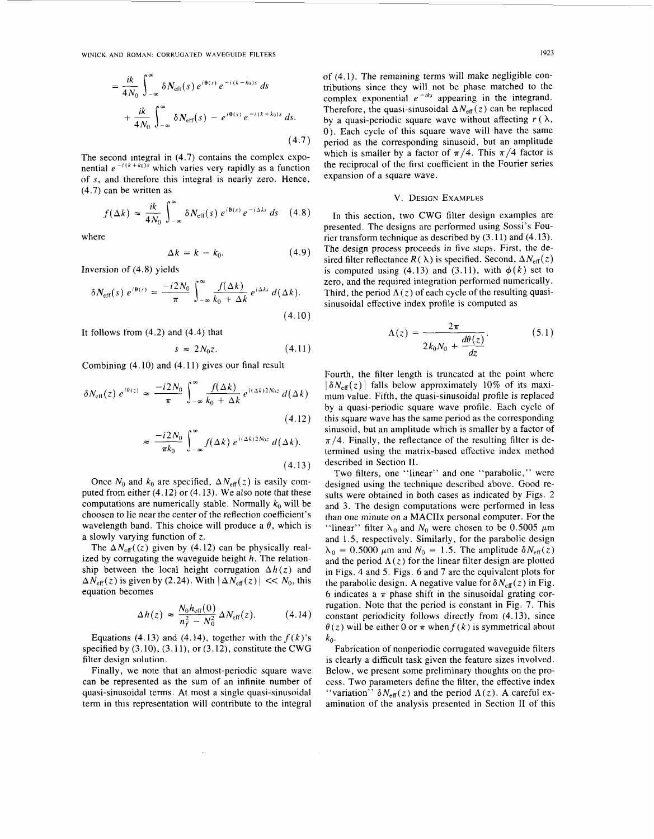WINICK AND ROMAN: CORRUGATED WAVEGUIDE FlLTERS **1923** 

$$
= \frac{ik}{4N_0} \int_{-\infty}^{\infty} \delta N_{\rm eff}(s) e^{i\theta(s)} e^{-i(k-k_0)s} ds
$$
  
+ 
$$
\frac{ik}{4N_0} \int_{-\infty}^{\infty} \delta N_{\rm eff}(s) - e^{i\theta(s)} e^{-i(k+k_0)s} ds.
$$
(4.7)

The second integral in (4.7) contains the complex exponential  $e^{-i(k + k_0)s}$  which varies very rapidly as a function of **s,** and therefore this integral is nearly zero. Hence, (4.7) can be written as

$$
f(\Delta k) \approx \frac{ik}{4N_0} \int_{-\infty}^{\infty} \delta N_{\rm eff}(s) \; e^{i\theta(s)} \, e^{-i\Delta ks} \; ds \quad (4.8)
$$

where

$$
\Delta k = k - k_0. \tag{4.9}
$$

Inversion of (4.8) yields

$$
\delta N_{\rm eff}(s) \; e^{i\theta(s)} = \frac{-i 2N_0}{\pi} \int_{-\infty}^{\infty} \frac{f(\Delta k)}{k_0 + \Delta k} \; e^{i\Delta k s} \; d(\Delta k). \tag{4.10}
$$

It follows from (4.2) and (4.4) that

$$
s \approx 2N_0 z. \tag{4.11}
$$

Combining (4.10) and (4.11) gives our final result

$$
\delta N_{\rm eff}(z) \, e^{i\theta(z)} \approx \frac{-i2N_0}{\pi} \int_{-\infty}^{\infty} \frac{f(\Delta k)}{k_0 + \Delta k} \, e^{i(\Delta k)2N_0 z} \, d(\Delta k)
$$
\n
$$
\approx \frac{-i2N_0}{\pi k_0} \int_{-\infty}^{\infty} f(\Delta k) \, e^{i(\Delta k)2N_0 z} \, d(\Delta k).
$$
\n(4.13)

Once  $N_0$  and  $k_0$  are specified,  $\Delta N_{\text{eff}}(z)$  is easily computed from either (4.12) or (4.13). We also note that these computations are numerically stable. Normally  $k_0$  will be choosen to lie near the center of the reflection coefficient's wavelength band. This choice will produce a  $\theta$ , which is a slowly varying function of 2.

The  $\Delta N_{\text{eff}}(z)$  given by (4.12) can be physically realized by corrugating the waveguide height *h.* The relationship between the local height corrugation  $\Delta h(z)$  and  $\Delta N_{\text{eff}}(z)$  is given by (2.24). With  $|\Delta N_{\text{eff}}(z)| \ll N_0$ , this equation becomes

$$
\Delta h(z) \approx \frac{N_0 h_{\rm eff}(0)}{n_f^2 - N_0^2} \Delta N_{\rm eff}(z). \tag{4.14}
$$

Equations (4.13) and (4.14), together with the  $f(k)$ 's specified by  $(3.10)$ ,  $(3.11)$ , or  $(3.12)$ , constitute the CWG filter design solution.

Finally, we note that an almost-periodic square wave can be represented as the sum of an infinite number of quasi-sinusoidal terms. At most a single quasi-sinusoidal term in this representation will contribute to the integral of (4.1). The remaining terms will make negligible contributions since they will not be phase matched to the complex exponential  $e^{-iks}$  appearing in the integrand. Therefore, the quasi-sinusoidal  $\Delta N_{\text{eff}}(z)$  can be replaced by a quasi-periodic square wave without affecting  $r(\lambda, \lambda)$ 0). Each cycle of this square wave will have the same period as the corresponding sinusoid, but an amplitude which is smaller by a factor of  $\pi/4$ . This  $\pi/4$  factor is the reciprocal of the first coefficient in the Fourier series expansion of a square wave.

# V. DESIGN EXAMPLES

In this section, two CWG filter design examples are presented. The designs are performed using Sossi's Fourier transform technique as described by  $(3.11)$  and  $(4.13)$ . The design process proceeds in five steps. First, the desired filter reflectance  $R(\lambda)$  is specified. Second,  $\Delta N_{\text{eff}}(z)$ is computed using (4.13) and (3.11), with  $\phi(k)$  set to zero, and the required integration performed numerically. Third, the period  $\Lambda(z)$  of each cycle of the resulting quasisinusoidal effective index profile is computed as

$$
\Lambda(z) = \frac{2\pi}{2k_0N_0 + \frac{d\theta(z)}{dz}}.
$$
\n(5.1)

Fourth, the filter length is truncated at the point where  $|\delta N_{\text{eff}}(z)|$  falls below approximately 10% of its maximum value. Fifth, the quasi-sinusoidal profile is replaced by a quasi-periodic square wave profile. Each cycle of this square wave has the same period as the corresponding sinusoid, but an amplitude which is smaller by a factor of  $\pi/4$ . Finally, the reflectance of the resulting filter is determined using the matrix-based effective index method described in Section 11.

Two filters, one "linear" and one "parabolic," were designed using the technique described above. Good results were obtained in both cases as indicated by Figs. 2 and 3. The design computations were performed in less than one minute on a MACIIx personal computer. For the "linear" filter  $\lambda_0$  and  $N_0$  were chosen to be 0.5005  $\mu$ m and 1.5, respectively. Similarly, for the parabolic design  $\lambda_0 = 0.5000 \mu \text{m}$  and  $N_0 = 1.5$ . The amplitude  $\delta N_{\text{eff}}(z)$ and the period  $\Lambda(z)$  for the linear filter design are plotted in Figs. 4 and 5. Figs. **6** and 7 are the equivalent plots for the parabolic design. A negative value for  $\delta N_{\text{eff}}(z)$  in Fig. 6 indicates a  $\pi$  phase shift in the sinusoidal grating corrugation. Note that the period is constant in Fig. 7. This constant periodicity follows directly from (4.13), since  $\theta(z)$  will be either 0 or  $\pi$  when  $f(k)$  is symmetrical about *k0.* 

Fabrication of nonperiodic corrugated waveguide filters is clearly a difficult task given the feature sizes involved. Below, we present some preliminary thoughts on the process. Two parameters define the filter, the effective index "variation"  $\delta N_{\text{eff}}(z)$  and the period  $\Lambda(z)$ . A careful examination of the analysis presented in Section I1 of this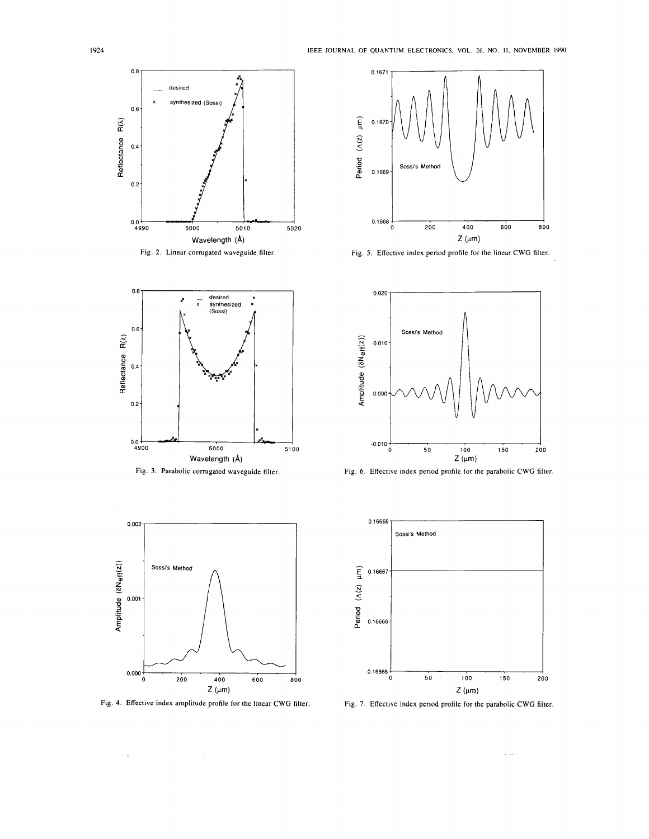

**Fig.** 2. **Linear cormgated waveguide filter.** 







**Fig. 4. Effective index amplitude profile for the linear CWG filter.** 



**Fig. 5. Effective index period profile for the linear CWG filter.** 



**Fig. 6. Effective index period profile for the parabolic CWG filter.** 



**Fig. 7. Effective index period profile for the parabolic CWG filter.** 

 $\bar{\omega}$  and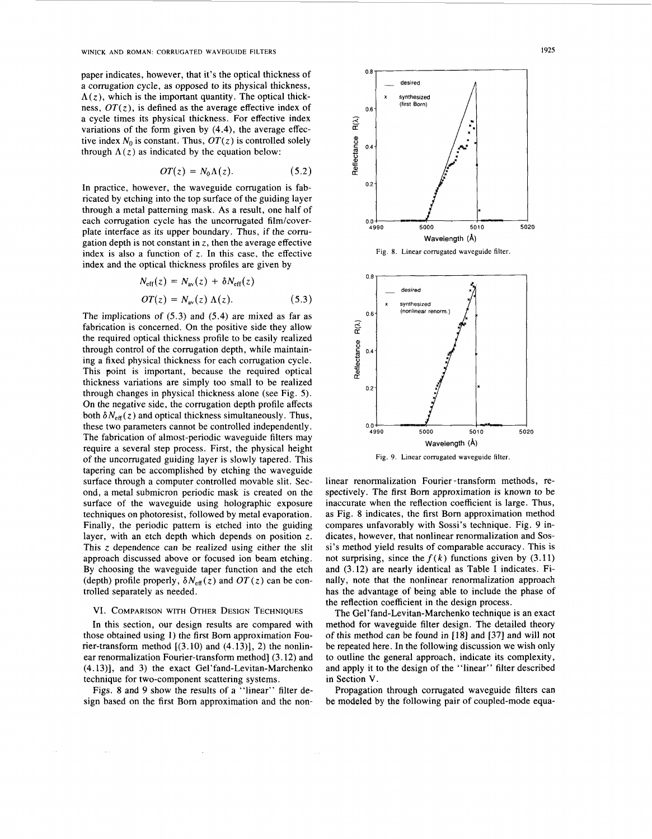paper indicates, however, that it's the optical thickness of a corrugation cycle, as opposed to its physical thickness,  $\Lambda(z)$ , which is the important quantity. The optical thickness,  $OT(z)$ , is defined as the average effective index of a cycle times its physical thickness. For effective index variations of the form given by **(4.4),** the average effective index  $N_0$  is constant. Thus,  $OT(z)$  is controlled solely through  $\Lambda(z)$  as indicated by the equation below:

$$
OT(z) = N_0 \Lambda(z). \tag{5.2}
$$

In practice, however, the waveguide corrugation is fabricated by etching into the top surface of the guiding layer through a metal patterning mask. **As** a result, one half of each corrugation cycle has the uncorrugated film/coverplate interface as its upper boundary. Thus, if the corrugation depth is not constant in  $z$ , then the average effective index is also a function of *z.* In this case, the effective index and the optical thickness profiles are given by

$$
N_{\text{eff}}(z) = N_{\text{av}}(z) + \delta N_{\text{eff}}(z)
$$
  

$$
OT(z) = N_{\text{av}}(z) \Lambda(z).
$$
 (5.3)

The implications of (5.3) and **(5.4)** are mixed as far as fabrication is concerned. On the positive side they allow the required optical thickness profile to be easily realized through control of the corrugation depth, while maintaining a fixed physical thickness for each corrugation cycle. This point is important, because the required optical thickness variations are simply too small to be realized through changes in physical thickness alone (see Fig. *5).*  On the negative side, the corrugation depth profile affects both  $\delta N_{\text{eff}}(z)$  and optical thickness simultaneously. Thus, these two parameters cannot be controlled independently. The fabrication of almost-periodic waveguide filters may require a several step process. First, the physical height of the uncorrugated guiding layer is slowly tapered. This tapering can be accomplished by etching the waveguide surface through a computer controlled movable slit. Second, a metal submicron periodic mask is created on the surface of the waveguide using holographic exposure techniques on photoresist, followed by metal evaporation. Finally, the periodic pattern is etched into the guiding layer, with an etch depth which depends on position z. This *z* dependence can be realized using either the slit approach discussed above or focused ion beam etching. By choosing the waveguide taper function and the etch (depth) profile properly,  $\delta N_{\text{eff}}(z)$  and  $OT(z)$  can be controlled separately as needed.

# VI. COMPARISON WITH OTHER DESIGN TECHNIQUES

In this section, our design results are compared with those obtained using 1) the first Born approximation Fourier-transform method  $[(3.10)$  and  $(4.13)]$ , 2) the nonlinear renormalization Fourier-transform method] (3.12) and **(4.13)],** and 3) the exact **Gel'fand-Levitan-Marchenko**  technique for two-component scattering systems.

Figs. 8 and 9 show the results of a "linear" filter design based on the first Born approximation and the non-



**Fig. 9. Linear corrugated waveguide filter.** 

linear renormalization Fourier -transform methods, respectively. The first Born approximation is known to be inaccurate when the reflection coefficient is large. Thus, as Fig. **8** indicates, the first Born approximation method compares unfavorably with Sossi's technique. Fig. 9 indicates, however, that nonlinear renormalization and **Sos**si's method yield results of comparable accuracy. This is not surprising, since the  $f(k)$  functions given by (3.11) and (3.12) are nearly identical as Table I indicates. Finally, note that the nonlinear renormalization approach has the advantage of being able to include the phase of the reflection coefficient in the design process.

The Gel' fand-Levitan-Marchenko technique **is** an exact method for waveguide filter design. The detailed theory of this method can be found in **[18]** and **[37]** and will not be repeated here. In the following discussion we wish only to outline the general approach, indicate its complexity, and apply it to the design of the "linear" filter described in Section V.

Propagation through corrugated waveguide filters can be modeled by the following pair of coupled-mode equa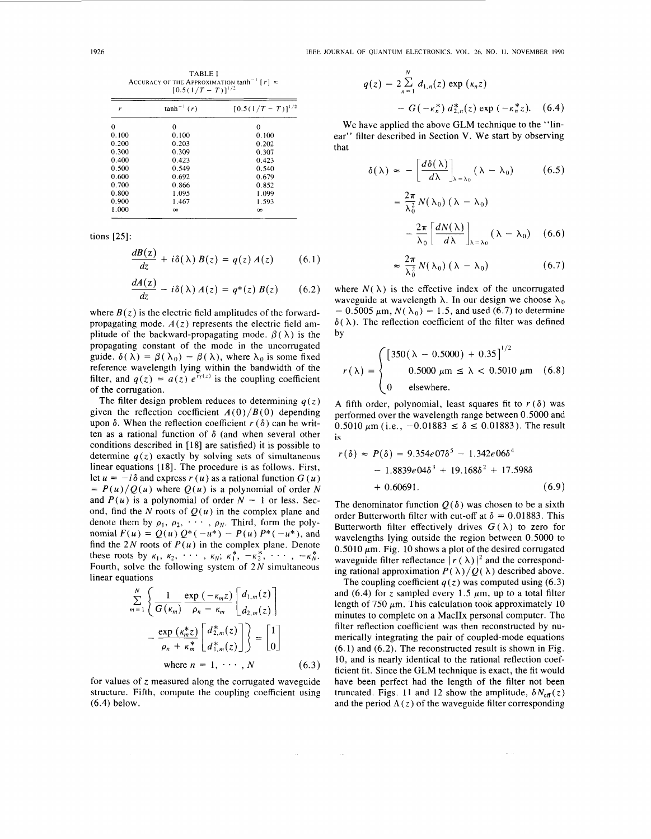1926 IEEE JOURNAL OF QUANTUM ELECTRONICS. VOL. *26,* NO. 11. NOVEMBER 1990

TABLE **<sup>I</sup>** ACCURACY OF THE APPROXIMATION  $\tanh^{-1}[r] \approx$  $[0.5(1/T - T)]^{1/2}$ 

| $\mathbf{r}$ | $\tanh^{-1}(r)$ | $[0.5(1/T - T)]^{1/2}$ | $-G(-\kappa_n^*) d_{2n}^*(z) \exp(-\kappa_n^* z)$ . (6.4)                                                         |
|--------------|-----------------|------------------------|-------------------------------------------------------------------------------------------------------------------|
| $\Omega$     | $\bf{0}$        | 0                      | We have applied the above GLM technique to the "lin-                                                              |
| 0.100        | 0.100           | 0.100                  | ear" filter described in Section V. We start by observing                                                         |
| 0.200        | 0.203           | 0.202                  | that                                                                                                              |
| 0.300        | 0.309           | 0.307                  |                                                                                                                   |
| 0.400        | 0.423           | 0.423                  |                                                                                                                   |
| 0.500        | 0.549           | 0.540                  | $\delta(\lambda) \approx -\left[\frac{d\delta(\lambda)}{d\lambda}\right]_{\lambda=\lambda_0} (\lambda-\lambda_0)$ |
| 0.600        | 0.692           | 0.679                  | (6.5)                                                                                                             |
| 0.700        | 0.866           | 0.852                  | $= \frac{2\pi}{\lambda_0^2} N(\lambda_0) (\lambda - \lambda_0)$                                                   |
| 0.800        | 1.095           | 1.099                  |                                                                                                                   |
| 0.900        | 1.467           | 1.593                  |                                                                                                                   |
| 1.000        | $\infty$        | $\infty$               |                                                                                                                   |

tions [25]

$$
\frac{dB(z)}{dz} + i\delta(\lambda) B(z) = q(z) A(z) \qquad (6.1)
$$

$$
\frac{dA(z)}{dz} - i\delta(\lambda) A(z) = q^*(z) B(z) \qquad (6.2)
$$

where  $B(z)$  is the electric field amplitudes of the forwardpropagating mode.  $A(z)$  represents the electric field amplitude of the backward-propagating mode.  $\beta(\lambda)$  is the propagating constant of the mode in the uncorrugated guide.  $\delta(\lambda) = \beta(\lambda_0) - \beta(\lambda)$ , where  $\lambda_0$  is some fixed reference wavelength lying within the bandwidth of the filter, and  $q(z) = a(z) e^{i\gamma(z)}$  is the coupling coefficient of the corrugation.

The filter design problem reduces to determining  $q(z)$ given the reflection coefficient  $A(0)/B(0)$  depending upon  $\delta$ . When the reflection coefficient  $r(\delta)$  can be written as a rational function of  $\delta$  (and when several other conditions described in [18] are satisfied) it is possible to determine  $q(z)$  exactly by solving sets of simultaneous linear equations [18]. The procedure is as follows. First, let  $u = -i\delta$  and express  $r(u)$  as a rational function  $G(u)$  $= P(u)/Q(u)$  where  $Q(u)$  is a polynomial of order N and  $P(u)$  is a polynomial of order  $N - 1$  or less. Second, find the *N* roots of  $Q(u)$  in the complex plane and denote them by  $\rho_1$ ,  $\rho_2$ ,  $\cdots$ ,  $\rho_N$ . Third, form the polynomial  $F(u) = Q(u) Q^*(-u^*) - P(u) P^*(-u^*)$ , and find the 2N roots of  $P(u)$  in the complex plane. Denote Fourth, solve the following system of  $2N$  simultaneous linear equations these roots by  $\kappa_1, \kappa_2, \cdots, \kappa_N, \kappa_1^*, -\kappa_2^*, \cdots, -\kappa_N^*$ .

$$
\sum_{n=1}^{N} \left\{ \frac{1}{G(\kappa_m)} \frac{\exp(-\kappa_m z)}{\rho_n - \kappa_m} \begin{bmatrix} d_{1,m}(z) \\ d_{2,m}(z) \end{bmatrix} - \frac{\exp(\kappa_m^* z)}{\rho_n + \kappa_m^*} \begin{bmatrix} d_{2,m}^*(z) \\ d_{1,m}^*(z) \end{bmatrix} \right\} = \begin{bmatrix} 1 \\ 0 \end{bmatrix}
$$
  
where  $n = 1, \dots, N$  (6.3)

for values of *z* measured along the corrugated waveguide structure. Fifth, compute the coupling coefficient using (6.4) below.

$$
q(z) = 2 \sum_{n=1}^{N} d_{1,n}(z) \exp (\kappa_n z)
$$
  
-  $G(-\kappa_n^*) d_{2,n}^*(z) \exp (-\kappa_n^* z).$  (6.4)

$$
\delta(\lambda) \approx -\left[\frac{d\delta(\lambda)}{d\lambda}\right]_{\lambda=\lambda_0} (\lambda-\lambda_0) \tag{6.5}
$$

$$
= \frac{2\pi}{\lambda_0^2} N(\lambda_0) (\lambda - \lambda_0)
$$

$$
- \frac{2\pi}{\lambda_0} \left[ \frac{dN(\lambda)}{d\lambda} \right]_{\lambda = \lambda_0} (\lambda - \lambda_0) \quad (6.6)
$$

$$
\approx \frac{2\pi}{\lambda_0^2} N(\lambda_0) (\lambda - \lambda_0) \tag{6.7}
$$

where  $N(\lambda)$  is the effective index of the uncorrugated waveguide at wavelength  $\lambda$ . In our design we choose  $\lambda_0$  $= 0.5005 \mu m, N(\lambda_0) = 1.5$ , and used (6.7) to determine  $\delta(\lambda)$ . The reflection coefficient of the filter was defined by

$$
r(\lambda) = \begin{cases} \left[350(\lambda - 0.5000) + 0.35\right]^{1/2} \\ 0.5000 \ \mu \text{m} \le \lambda < 0.5010 \ \mu \text{m} \quad (6.8) \\ 0 & \text{elsewhere.} \end{cases}
$$

A fifth order, polynomial, least squares fit to  $r(\delta)$  was performed over the wavelength range between 0.5000 and  $0.5010 \mu m$  (i.e.,  $-0.01883 \le \delta \le 0.01883$ ). The result is

$$
r(\delta) \approx P(\delta) = 9.354e07\delta^5 - 1.342e06\delta^4
$$
  
- 1.8839e04\delta^3 + 19.168\delta^2 + 17.598\delta  
+ 0.60691. (6.9)

The denominator function  $Q(\delta)$  was chosen to be a sixth order Butterworth filter with cut-off at  $\delta = 0.01883$ . This Butterworth filter effectively drives  $G(\lambda)$  to zero for wavelengths lying outside the region between 0.5000 to  $0.5010 \mu m$ . [Fig.](#page-9-0) 10 shows a plot of the desired corrugated waveguide filter reflectance  $|r(\lambda)|^2$  and the corresponding rational approximation  $P(\lambda)/Q(\lambda)$  described above.

The coupling coefficient  $q(z)$  was computed using (6.3) and (6.4) for *z* sampled every 1.5  $\mu$ m, up to a total filter length of 750  $\mu$ m. This calculation took approximately 10 minutes to complete on a MacIIx personal computer. The filter reflection coefficient was then reconstructed by numerically integrating the pair of coupled-mode equations  $(6.1)$  and  $(6.2)$ . The reconstructed result is shown in [Fig.](#page-9-0) [10,](#page-9-0) and is nearly identical to the rational reflection coefficient fit. Since the GLM technique is exact, the fit would have been perfect had the length of the filter not been truncated. Figs. 11 and 12 show the amplitude,  $\delta N_{\text{eff}}(z)$ and the period  $\Lambda(z)$  of the waveguide filter corresponding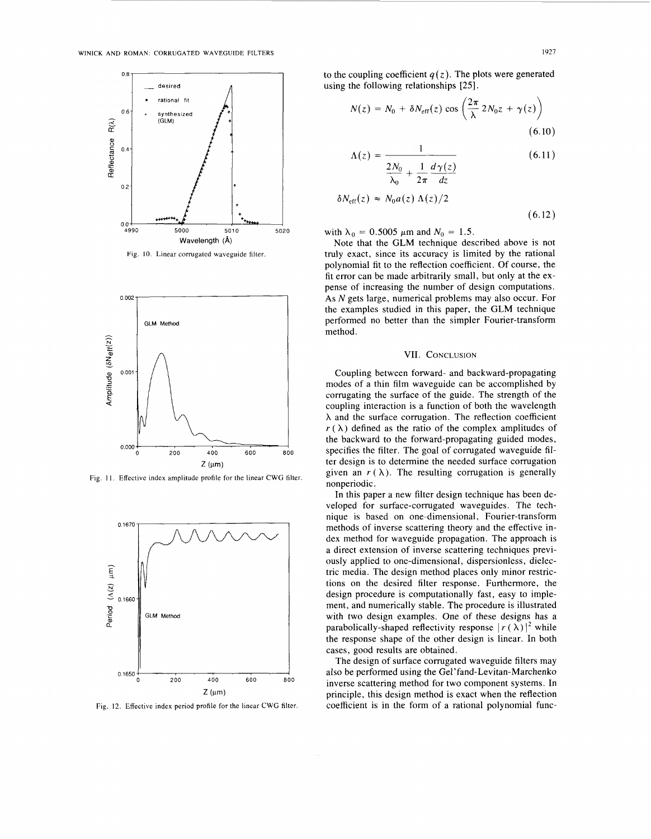<span id="page-9-0"></span>

Fig. 10. Linear corrugated waveguide filter.



Fig. 11, Effective index amplitude profile for the linear CWG filter



**Fig.** 12. Effective index period profile for the linear CWG filter.

to the coupling coefficient  $q(z)$ . The plots were generated using the following relationships [25].

$$
N(z) = N_0 + \delta N_{\rm eff}(z) \cos \left(\frac{2\pi}{\lambda} 2N_0 z + \gamma(z)\right)
$$
\n(6.10)

$$
\Lambda(z) = \frac{1}{\frac{2N_0}{\lambda_0} + \frac{1}{2\pi} \frac{d\gamma(z)}{dz}}
$$
(6.11)

$$
\delta N_{\rm eff}(z) \approx N_0 a(z) \Lambda(z)/2 \tag{6.12}
$$

with  $\lambda_0 = 0.5005 \mu m$  and  $N_0 = 1.5$ .

Note that the GLM technique described above is not truly exact, since its accuracy is limited by the rational polynomial fit to the reflection coefficient. Of course, the fit error can be made arbitrarily small, but only at the expense of increasing the number of design computations. **As** *N* gets large, numerical problems may also occur. For the examples studied in this paper, the GLM technique performed no better than the simpler Fourier-transform method.

# VII. CONCLUSION

Coupling between forward- and backward-propagating modes of a thin film waveguide can be accomplished by corrugating the surface of the guide. The strength of the coupling interaction is a function of both the wavelength *h* and the surface corrugation. The reflection coefficient  $r(\lambda)$  defined as the ratio of the complex amplitudes of the backward to the forward-propagating guided modes, specifies the filter. The goal of corrugated waveguide filter design is to determine the needed surface corrugation given an  $r(\lambda)$ . The resulting corrugation is generally nonperiodic.

In this paper a new filter design technique has been developed for surface-corrugated waveguides. The technique is based on one-dimensional, Fourier-transform methods of inverse scattering theory and the effective index method for waveguide propagation. The approach is a direct extension of inverse scattering techniques previously applied to one-dimensional, dispersionless, dielectric media. The design method places only minor restrictions on the desired filter response. Furthermore, the design procedure is computationally fast, easy to implement, and numerically stable. The procedure is illustrated with two design examples. One of these designs has a parabolically-shaped reflectivity response  $|r(\lambda)|^2$  while the response shape of the other design is linear. In both cases, good results are obtained.

The design of surface corrugated waveguide filters may also be performed using the **Gel'fand-Levitan-Marchenko**  inverse scattering method for two component systems. In principle, this design method is exact when the reflection coefficient is in the form of a rational polynomial func-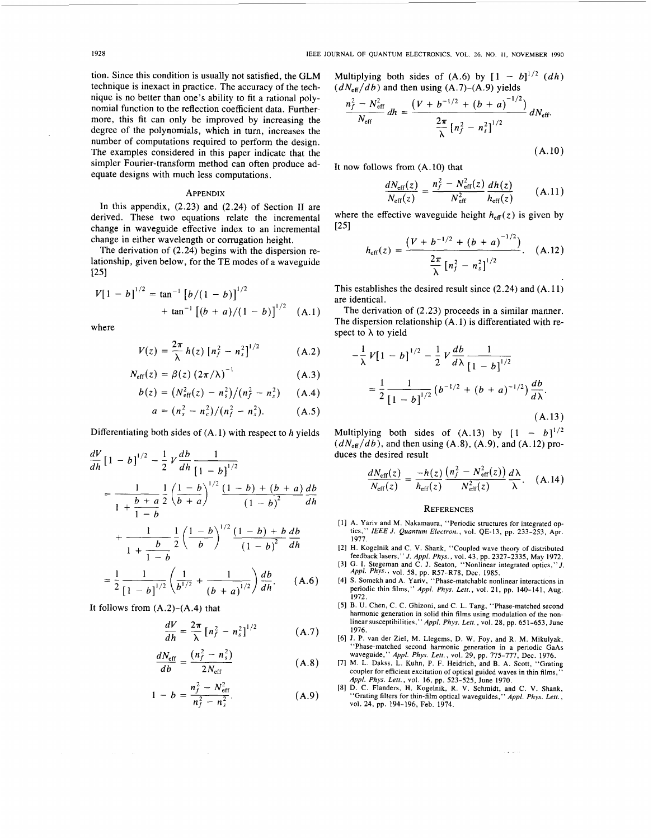tion. Since this condition is usually not satisfied, the GLM technique is inexact in practice. The accuracy of the technique is no better than one's ability to fit a rational polynomial function to the reflection coefficient data. Furthermore, this fit can only be improved by increasing the degree of the polynomials, which in turn, increases the number of computations required to perform the design. The examples considered in this paper indicate that the simpler Fourier-transform method can often produce adequate designs with much less computations.

### **APPENDIX**

In this appendix, **(2.23)** and **(2.24)** of Section **I1** are derived. These two equations relate the incremental change in waveguide effective index to an incremental change in either wavelength or corrugation height.

The derivation of **(2.24)** begins with the dispersion relationship, given below, for the TE modes of a waveguide **1251** 

$$
V[1-b]^{1/2} = \tan^{-1} [b/(1-b)]^{1/2}
$$
  
+  $\tan^{-1} [(b+a)/(1-b)]^{1/2}$  (A.1)

where

$$
V(z) = \frac{2\pi}{\lambda} h(z) [n_f^2 - n_s^2]^{1/2}
$$
 (A.2)

$$
N_{\rm eff}(z) = \beta(z) \left(2\pi/\lambda\right)^{-1} \tag{A.3}
$$

$$
b(z) = (N_{\text{eff}}^2(z) - n_s^2)/(n_f^2 - n_s^2) \qquad (A.4)
$$

$$
a = (n_s^2 - n_c^2)/(n_f^2 - n_s^2). \hspace{1cm} (A.5)
$$

Differentiating both sides of  $(A.1)$  with respect to h yields

$$
\frac{dV}{dh} \left[ 1 - b \right]^{1/2} - \frac{1}{2} V \frac{db}{dh} \frac{1}{\left[ 1 - b \right]^{1/2}}
$$
\n
$$
= \frac{1}{1 + \frac{b + a}{1 - b}} \frac{1}{2} \left( \frac{1 - b}{b + a} \right)^{1/2} \frac{(1 - b) + (b + a)}{(1 - b)^2} \frac{db}{dh}
$$
\n
$$
+ \frac{1}{1 + \frac{b}{1 - b}} \frac{1}{2} \left( \frac{1 - b}{b} \right)^{1/2} \frac{(1 - b) + b}{(1 - b)^2} \frac{db}{dh}
$$
\n
$$
= \frac{1}{2} \frac{1}{\left[ 1 - b \right]^{1/2}} \left( \frac{1}{b^{1/2}} + \frac{1}{(b + a)^{1/2}} \right) \frac{db}{dh}. \quad (A.6)
$$

It follows from (A.2)–(A.4) that  
\n
$$
\frac{dV}{dh} = \frac{2\pi}{\lambda} [n_f^2 - n_s^2]^{1/2}
$$
\n(A.7)

$$
\frac{dN_{\rm eff}}{db} = \frac{(n_f^2 - n_s^2)}{2N_{\rm eff}}\tag{A.8}
$$

$$
1 - b = \frac{n_f^2 - N_{\text{eff}}^2}{n_f^2 - n_s^2}.
$$
 (A.9)

Multiplying both sides of  $(A.6)$  by  $[1 - b]^{1/2}$   $(dh)$  $(dN_{\text{eff}}/db)$  and then using  $(A.7)-(A.9)$  yields

$$
\frac{n_f^2 - N_{\text{eff}}^2}{N_{\text{eff}}} dh = \frac{\left(V + b^{-1/2} + (b + a)^{-1/2}\right)}{\frac{2\pi}{\lambda} \left[n_f^2 - n_s^2\right]^{1/2}} dN_{\text{eff}}.
$$
\n(A.10)

It now follows from **(A. 10)** that

$$
\frac{dN_{\rm eff}(z)}{N_{\rm eff}(z)} = \frac{n_f^2 - N_{\rm eff}^2(z)}{N_{\rm eff}^2} \frac{dh(z)}{h_{\rm eff}(z)} \qquad (A.11)
$$

where the effective waveguide height  $h_{\text{eff}}(z)$  is given by  $[25]$ 

$$
h_{\text{eff}}(z) = \frac{\left(V + b^{-1/2} + \left(b + a\right)^{-1/2}\right)}{\frac{2\pi}{\lambda} \left[n_f^2 - n_s^2\right]^{1/2}}.
$$
 (A.12)

This establishes the desired result since **(2.24)** and **(A. 11)**  are identical.

The derivation of **(2.23)** proceeds in a similar manner. The dispersion relationship **(A. 1)** is differentiated with respect to  $\lambda$  to yield

$$
-\frac{1}{\lambda}V[1-b]^{1/2} - \frac{1}{2}V\frac{db}{d\lambda}\frac{1}{[1-b]^{1/2}}
$$
  
= 
$$
\frac{1}{2}\frac{1}{[1-b]^{1/2}}(b^{-1/2} + (b+a)^{-1/2})\frac{db}{d\lambda}.
$$
 (A.13)

Multiplying both sides of  $(A.13)$  by  $[1 - b]^{1/2}$  $(dN_{\text{eff}}/db)$ , and then using  $(A.8)$ ,  $(A.9)$ , and  $(A.12)$  produces the desired result

The desired result  
\n
$$
\frac{dN_{\text{eff}}(z)}{N_{\text{eff}}(z)} = \frac{-h(z)}{h_{\text{eff}}(z)} \frac{(n_f^2 - N_{\text{eff}}^2(z))}{N_{\text{eff}}^2(z)} \frac{d\lambda}{\lambda}.
$$
 (A.14)

#### **REFERENCES**

- **[l] A. Yariv and M. Nakamaura, "Periodic structures for integrated optics,"** *IEEE J. Quantum Electron.,* **vol. QE-13, pp. 233-253, Apr. 1977.**
- **[2] H. Kogelnik and C.** V. **Shank, "Coupled wave theory of distributed feedback lasers,"** *J. Appl. Phys.,* **vol. 43, pp. 2327-2335, May 1972.**
- **[3]** *G.* **I. Stegeman and C. J. Seaton, "Nonlinear integrated optics,"J.**  *Appl. phy.7..* **vol.** *58,* **pp. R57-R78, Dec. 1985.**
- **[4J S. Somekh and A. Yariv, "Phase-matchable nonlinear interactions in periodic thin films,"** *Appl. Phys. Lett.,* **vol. 21, pp. 140-141, Aug. 1972.**
- *[5]* **B. U. Chen, C. C. Ghizoni, and C. L. Tang, "Phase-matched second harmonic generation in solid thin films using modulation of the nonlinear susceptibilities,"** *Appl. Phys. Lett.,* **vol. 28, pp. 651-653, June 1976.**
- **[6] J. P. van der Ziel, M. Llegems, D.** W. **Foy, and R. M. Mikulyak,**  "Phase-matched second harmonic generation in a periodic GaAs<br>waveguide," Appl. Phys. Lett., vol. 29, pp. 775-777, Dec. 1976.<br>[7] M. L. Dakss, L. Kuhn, P. F. Heidrich, and B. A. Scott, "Grating
- coupler for efficient excitation of optical guided waves in thin films, *Appl. Phys. Lett.,* **vol. 16, pp. 523-525, June 1970.**
- **[8] D. C. Flanders, H. Kogelnik, R.** V. **Schmidt, and C.** V. **Shank, "Grating filters for thin-film optical waveguides,"** *Appl. Phys. Lett.* , **vol. 24, pp. 194-196, Feb. 1974.**